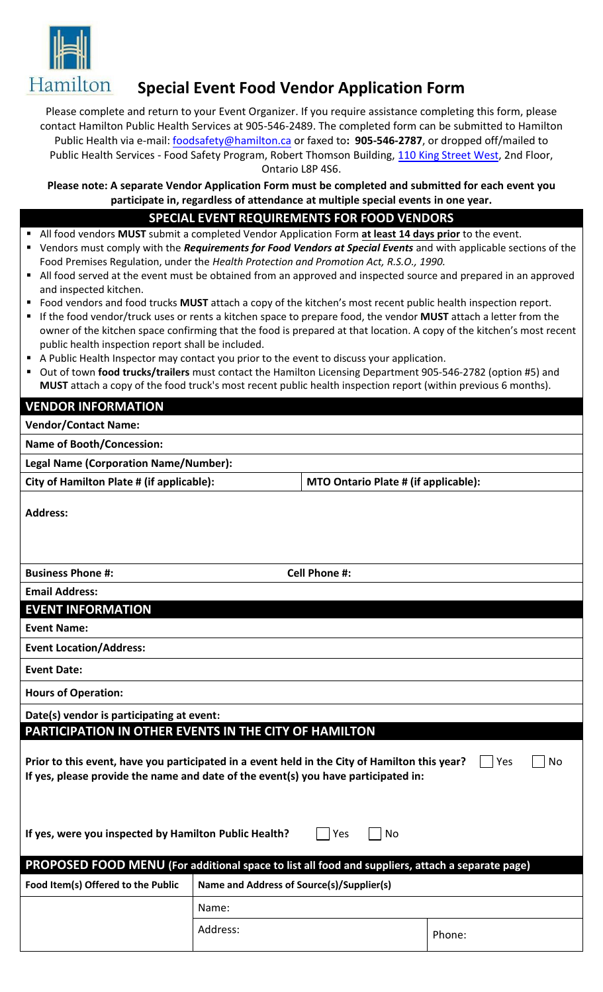

# **Special Event Food Vendor Application Form**

Please complete and return to your Event Organizer. If you require assistance completing this form, please contact Hamilton Public Health Services at 905-546-2489. The completed form can be submitted to Hamilton Public Health via e-mail: [foodsafety@hamilton.ca](mailto:foodsafety@hamilton.ca) or faxed to**: 905-546-2787**, or dropped off/mailed to Public Health Services - Food Safety Program, Robert Thomson Building, [110 King Street West,](https://goo.gl/maps/vdi4QS44d9E2) 2nd Floor, Ontario L8P 4S6.

**Please note: A separate Vendor Application Form must be completed and submitted for each event you participate in, regardless of attendance at multiple special events in one year.**

### **SPECIAL EVENT REQUIREMENTS FOR FOOD VENDORS**

- All food vendors **MUST** submit a completed Vendor Application Form **at least 14 days prior** to the event.
- Vendors must comply with the *Requirements for Food Vendors at Special Events* and with applicable sections of the Food Premises Regulation, under the *Health Protection and Promotion Act, R.S.O., 1990.*
- All food served at the event must be obtained from an approved and inspected source and prepared in an approved and inspected kitchen.
- Food vendors and food trucks **MUST** attach a copy of the kitchen's most recent public health inspection report.
- If the food vendor/truck uses or rents a kitchen space to prepare food, the vendor **MUST** attach a letter from the owner of the kitchen space confirming that the food is prepared at that location. A copy of the kitchen's most recent public health inspection report shall be included.
- A Public Health Inspector may contact you prior to the event to discuss your application.
- Out of town **food trucks/trailers** must contact the Hamilton Licensing Department 905-546-2782 (option #5) and **MUST** attach a copy of the food truck's most recent public health inspection report (within previous 6 months).

#### **VENDOR INFORMATION**

**Name of Booth/Concession:**

**Legal Name (Corporation Name/Number):**

**City of Hamilton Plate # (if applicable): MTO Ontario Plate # (if applicable):**

**Address:** 

**Business Phone #: Cell Phone #:**

**Email Address:**

#### **EVENT INFORMATION**

**Event Name:** 

**Event Location/Address:** 

**Event Date:** 

**Hours of Operation:**

**Date(s) vendor is participating at event:**

## **PARTICIPATION IN OTHER EVENTS IN THE CITY OF HAMILTON**

| Prior to this event, have you participated in a event held in the City of Hamilton this year? $\Box$ Yes $\Box$ No |  |
|--------------------------------------------------------------------------------------------------------------------|--|
| If yes, please provide the name and date of the event(s) you have participated in:                                 |  |

| If yes, were you inspected by Hamilton Public Health? |  |  |
|-------------------------------------------------------|--|--|
|-------------------------------------------------------|--|--|

**If yes, were you inspected by Hamilton Public Health?** Yes No

| <b>PROPOSED FOOD MENU</b> (For additional space to list all food and suppliers, attach a separate page) |                                           |        |
|---------------------------------------------------------------------------------------------------------|-------------------------------------------|--------|
| Food Item(s) Offered to the Public                                                                      | Name and Address of Source(s)/Supplier(s) |        |
|                                                                                                         | Name:                                     |        |
|                                                                                                         | Address:                                  | Phone: |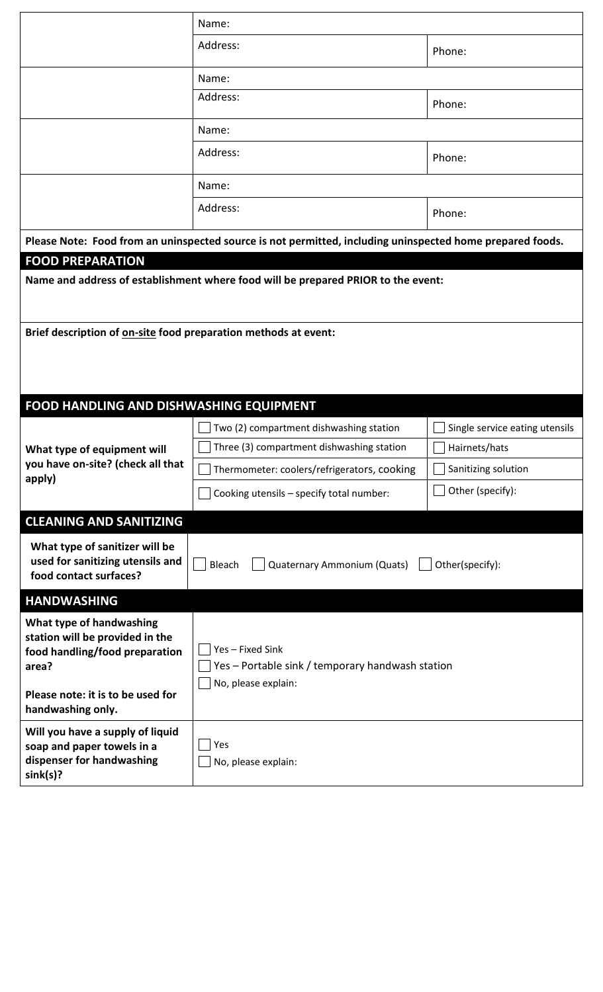|                                                                        | Name:                                                                                                     |                                |
|------------------------------------------------------------------------|-----------------------------------------------------------------------------------------------------------|--------------------------------|
|                                                                        | Address:                                                                                                  | Phone:                         |
|                                                                        | Name:                                                                                                     |                                |
|                                                                        | Address:                                                                                                  | Phone:                         |
|                                                                        | Name:                                                                                                     |                                |
|                                                                        | Address:                                                                                                  | Phone:                         |
|                                                                        | Name:                                                                                                     |                                |
|                                                                        | Address:                                                                                                  | Phone:                         |
|                                                                        | Please Note: Food from an uninspected source is not permitted, including uninspected home prepared foods. |                                |
| <b>FOOD PREPARATION</b>                                                |                                                                                                           |                                |
|                                                                        | Name and address of establishment where food will be prepared PRIOR to the event:                         |                                |
|                                                                        |                                                                                                           |                                |
| Brief description of on-site food preparation methods at event:        |                                                                                                           |                                |
|                                                                        |                                                                                                           |                                |
|                                                                        |                                                                                                           |                                |
| FOOD HANDLING AND DISHWASHING EQUIPMENT                                |                                                                                                           |                                |
|                                                                        | Two (2) compartment dishwashing station                                                                   | Single service eating utensils |
| What type of equipment will                                            | Three (3) compartment dishwashing station                                                                 | Hairnets/hats                  |
| you have on-site? (check all that                                      | Thermometer: coolers/refrigerators, cooking                                                               | Sanitizing solution            |
| apply)                                                                 | Cooking utensils - specify total number:                                                                  | Other (specify):               |
| <b>CLEANING AND SANITIZING</b>                                         |                                                                                                           |                                |
| What type of sanitizer will be                                         |                                                                                                           |                                |
| used for sanitizing utensils and                                       | <b>Quaternary Ammonium (Quats)</b><br>Bleach                                                              | Other(specify):                |
| food contact surfaces?                                                 |                                                                                                           |                                |
| <b>HANDWASHING</b>                                                     |                                                                                                           |                                |
| What type of handwashing                                               |                                                                                                           |                                |
| station will be provided in the<br>food handling/food preparation      | Yes - Fixed Sink                                                                                          |                                |
| area?                                                                  | Yes - Portable sink / temporary handwash station                                                          |                                |
| Please note: it is to be used for<br>handwashing only.                 | No, please explain:                                                                                       |                                |
| Will you have a supply of liquid                                       |                                                                                                           |                                |
| soap and paper towels in a<br>dispenser for handwashing<br>$sink(s)$ ? | Yes<br>No, please explain:                                                                                |                                |